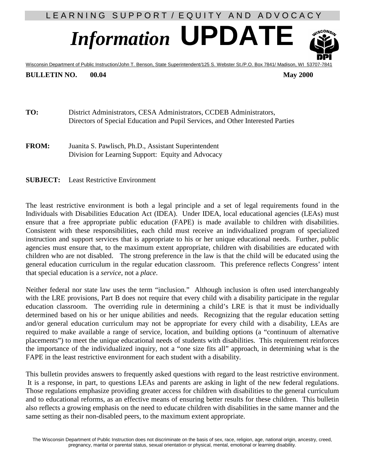# *Information* **UPDATE**

**ANSCONS** 

**TO:** District Administrators, CESA Administrators, CCDEB Administrators, Directors of Special Education and Pupil Services, and Other Interested Parties

| <b>FROM:</b> | Juanita S. Pawlisch, Ph.D., Assistant Superintendent |
|--------------|------------------------------------------------------|
|              | Division for Learning Support: Equity and Advocacy   |

**SUBJECT:** Least Restrictive Environment

The least restrictive environment is both a legal principle and a set of legal requirements found in the Individuals with Disabilities Education Act (IDEA). Under IDEA, local educational agencies (LEAs) must ensure that a free appropriate public education (FAPE) is made available to children with disabilities. Consistent with these responsibilities, each child must receive an individualized program of specialized instruction and support services that is appropriate to his or her unique educational needs. Further, public agencies must ensure that, to the maximum extent appropriate, children with disabilities are educated with children who are not disabled. The strong preference in the law is that the child will be educated using the general education curriculum in the regular education classroom. This preference reflects Congress' intent that special education is a *service*, not a *place*.

Neither federal nor state law uses the term "inclusion." Although inclusion is often used interchangeably with the LRE provisions, Part B does not require that every child with a disability participate in the regular education classroom. The overriding rule in determining a child's LRE is that it must be individually determined based on his or her unique abilities and needs. Recognizing that the regular education setting and/or general education curriculum may not be appropriate for every child with a disability, LEAs are required to make available a range of service, location, and building options (a "continuum of alternative placements") to meet the unique educational needs of students with disabilities. This requirement reinforces the importance of the individualized inquiry, not a "one size fits all" approach, in determining what is the FAPE in the least restrictive environment for each student with a disability.

This bulletin provides answers to frequently asked questions with regard to the least restrictive environment. It is a response, in part, to questions LEAs and parents are asking in light of the new federal regulations. Those regulations emphasize providing greater access for children with disabilities to the general curriculum and to educational reforms, as an effective means of ensuring better results for these children. This bulletin also reflects a growing emphasis on the need to educate children with disabilities in the same manner and the same setting as their non-disabled peers, to the maximum extent appropriate.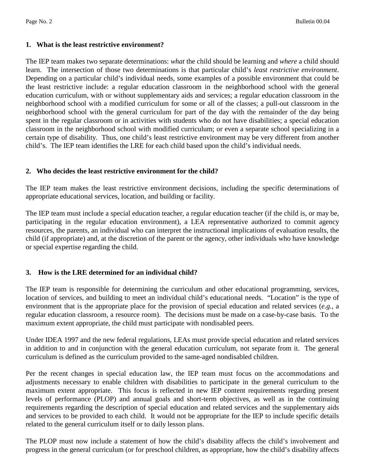#### **1. What is the least restrictive environment?**

The IEP team makes two separate determinations: *what* the child should be learning and *where* a child should learn. The intersection of those two determinations is that particular child's *least restrictive environment*. Depending on a particular child's individual needs, some examples of a possible environment that could be the least restrictive include: a regular education classroom in the neighborhood school with the general education curriculum, with or without supplementary aids and services; a regular education classroom in the neighborhood school with a modified curriculum for some or all of the classes; a pull-out classroom in the neighborhood school with the general curriculum for part of the day with the remainder of the day being spent in the regular classroom or in activities with students who do not have disabilities; a special education classroom in the neighborhood school with modified curriculum; or even a separate school specializing in a certain type of disability. Thus, one child's least restrictive environment may be very different from another child's. The IEP team identifies the LRE for each child based upon the child's individual needs.

## **2. Who decides the least restrictive environment for the child?**

The IEP team makes the least restrictive environment decisions, including the specific determinations of appropriate educational services, location, and building or facility.

The IEP team must include a special education teacher, a regular education teacher (if the child is, or may be, participating in the regular education environment), a LEA representative authorized to commit agency resources, the parents, an individual who can interpret the instructional implications of evaluation results, the child (if appropriate) and, at the discretion of the parent or the agency, other individuals who have knowledge or special expertise regarding the child.

## **3. How is the LRE determined for an individual child?**

The IEP team is responsible for determining the curriculum and other educational programming, services, location of services, and building to meet an individual child's educational needs. "Location" is the type of environment that is the appropriate place for the provision of special education and related services (*e.g.*, a regular education classroom, a resource room). The decisions must be made on a case-by-case basis. To the maximum extent appropriate, the child must participate with nondisabled peers.

Under IDEA 1997 and the new federal regulations, LEAs must provide special education and related services in addition to and in conjunction with the general education curriculum, not separate from it. The general curriculum is defined as the curriculum provided to the same-aged nondisabled children.

Per the recent changes in special education law, the IEP team must focus on the accommodations and adjustments necessary to enable children with disabilities to participate in the general curriculum to the maximum extent appropriate. This focus is reflected in new IEP content requirements regarding present levels of performance (PLOP) and annual goals and short-term objectives, as well as in the continuing requirements regarding the description of special education and related services and the supplementary aids and services to be provided to each child. It would not be appropriate for the IEP to include specific details related to the general curriculum itself or to daily lesson plans.

The PLOP must now include a statement of how the child's disability affects the child's involvement and progress in the general curriculum (or for preschool children, as appropriate, how the child's disability affects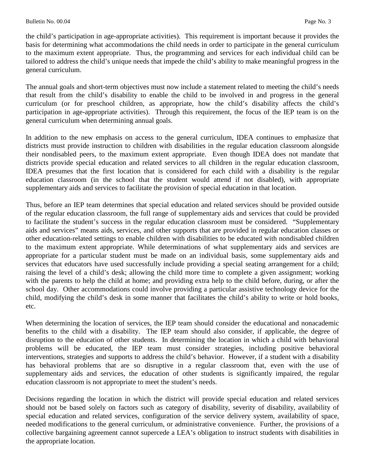the child's participation in age-appropriate activities). This requirement is important because it provides the basis for determining what accommodations the child needs in order to participate in the general curriculum to the maximum extent appropriate. Thus, the programming and services for each individual child can be tailored to address the child's unique needs that impede the child's ability to make meaningful progress in the general curriculum.

The annual goals and short-term objectives must now include a statement related to meeting the child's needs that result from the child's disability to enable the child to be involved in and progress in the general curriculum (or for preschool children, as appropriate, how the child's disability affects the child's participation in age-appropriate activities). Through this requirement, the focus of the IEP team is on the general curriculum when determining annual goals.

In addition to the new emphasis on access to the general curriculum, IDEA continues to emphasize that districts must provide instruction to children with disabilities in the regular education classroom alongside their nondisabled peers, to the maximum extent appropriate. Even though IDEA does not mandate that districts provide special education and related services to all children in the regular education classroom, IDEA presumes that the first location that is considered for each child with a disability is the regular education classroom (in the school that the student would attend if not disabled), with appropriate supplementary aids and services to facilitate the provision of special education in that location.

Thus, before an IEP team determines that special education and related services should be provided outside of the regular education classroom, the full range of supplementary aids and services that could be provided to facilitate the student's success in the regular education classroom must be considered. "Supplementary aids and services" means aids, services, and other supports that are provided in regular education classes or other education-related settings to enable children with disabilities to be educated with nondisabled children to the maximum extent appropriate. While determinations of what supplementary aids and services are appropriate for a particular student must be made on an individual basis, some supplementary aids and services that educators have used successfully include providing a special seating arrangement for a child; raising the level of a child's desk; allowing the child more time to complete a given assignment; working with the parents to help the child at home; and providing extra help to the child before, during, or after the school day. Other accommodations could involve providing a particular assistive technology device for the child, modifying the child's desk in some manner that facilitates the child's ability to write or hold books, etc.

When determining the location of services, the IEP team should consider the educational and nonacademic benefits to the child with a disability. The IEP team should also consider, if applicable, the degree of disruption to the education of other students. In determining the location in which a child with behavioral problems will be educated, the IEP team must consider strategies, including positive behavioral interventions, strategies and supports to address the child's behavior. However, if a student with a disability has behavioral problems that are so disruptive in a regular classroom that, even with the use of supplementary aids and services, the education of other students is significantly impaired, the regular education classroom is not appropriate to meet the student's needs.

Decisions regarding the location in which the district will provide special education and related services should not be based solely on factors such as category of disability, severity of disability, availability of special education and related services, configuration of the service delivery system, availability of space, needed modifications to the general curriculum, or administrative convenience. Further, the provisions of a collective bargaining agreement cannot supercede a LEA's obligation to instruct students with disabilities in the appropriate location.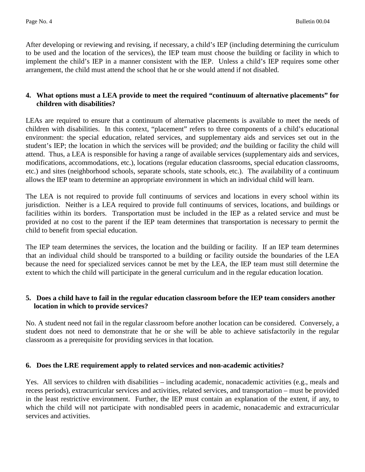After developing or reviewing and revising, if necessary, a child's IEP (including determining the curriculum to be used and the location of the services), the IEP team must choose the building or facility in which to implement the child's IEP in a manner consistent with the IEP. Unless a child's IEP requires some other arrangement, the child must attend the school that he or she would attend if not disabled.

# **4. What options must a LEA provide to meet the required "continuum of alternative placements" for children with disabilities?**

LEAs are required to ensure that a continuum of alternative placements is available to meet the needs of children with disabilities. In this context, "placement" refers to three components of a child's educational environment: the special education, related services, and supplementary aids and services set out in the student's IEP; the location in which the services will be provided; *and* the building or facility the child will attend. Thus, a LEA is responsible for having a range of available services (supplementary aids and services, modifications, accommodations, etc.), locations (regular education classrooms, special education classrooms, etc.) and sites (neighborhood schools, separate schools, state schools, etc.). The availability of a continuum allows the IEP team to determine an appropriate environment in which an individual child will learn.

The LEA is not required to provide full continuums of services and locations in every school within its jurisdiction. Neither is a LEA required to provide full continuums of services, locations, and buildings or facilities within its borders. Transportation must be included in the IEP as a related service and must be provided at no cost to the parent if the IEP team determines that transportation is necessary to permit the child to benefit from special education.

The IEP team determines the services, the location and the building or facility. If an IEP team determines that an individual child should be transported to a building or facility outside the boundaries of the LEA because the need for specialized services cannot be met by the LEA, the IEP team must still determine the extent to which the child will participate in the general curriculum and in the regular education location.

## **5. Does a child have to fail in the regular education classroom before the IEP team considers another location in which to provide services?**

No. A student need not fail in the regular classroom before another location can be considered. Conversely, a student does not need to demonstrate that he or she will be able to achieve satisfactorily in the regular classroom as a prerequisite for providing services in that location.

## **6. Does the LRE requirement apply to related services and non-academic activities?**

Yes. All services to children with disabilities – including academic, nonacademic activities (e.g., meals and recess periods), extracurricular services and activities, related services, and transportation – must be provided in the least restrictive environment. Further, the IEP must contain an explanation of the extent, if any, to which the child will not participate with nondisabled peers in academic, nonacademic and extracurricular services and activities.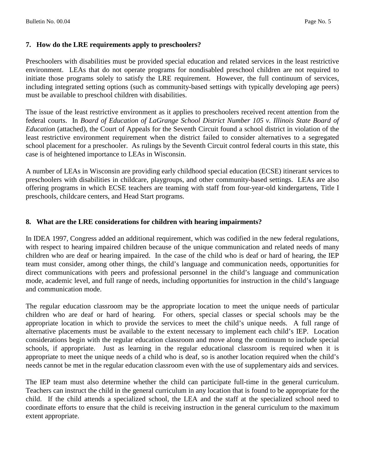## **7. How do the LRE requirements apply to preschoolers?**

Preschoolers with disabilities must be provided special education and related services in the least restrictive environment. LEAs that do not operate programs for nondisabled preschool children are not required to initiate those programs solely to satisfy the LRE requirement. However, the full continuum of services, including integrated setting options (such as community-based settings with typically developing age peers) must be available to preschool children with disabilities.

The issue of the least restrictive environment as it applies to preschoolers received recent attention from the federal courts. In *Board of Education of LaGrange School District Number 105 v. Illinois State Board of Education* (attached), the Court of Appeals for the Seventh Circuit found a school district in violation of the least restrictive environment requirement when the district failed to consider alternatives to a segregated school placement for a preschooler. As rulings by the Seventh Circuit control federal courts in this state, this case is of heightened importance to LEAs in Wisconsin.

A number of LEAs in Wisconsin are providing early childhood special education (ECSE) itinerant services to preschoolers with disabilities in childcare, playgroups, and other community-based settings. LEAs are also offering programs in which ECSE teachers are teaming with staff from four-year-old kindergartens, Title I preschools, childcare centers, and Head Start programs.

#### **8. What are the LRE considerations for children with hearing impairments?**

In IDEA 1997, Congress added an additional requirement, which was codified in the new federal regulations, with respect to hearing impaired children because of the unique communication and related needs of many children who are deaf or hearing impaired. In the case of the child who is deaf or hard of hearing, the IEP team must consider, among other things, the child's language and communication needs, opportunities for direct communications with peers and professional personnel in the child's language and communication mode, academic level, and full range of needs, including opportunities for instruction in the child's language and communication mode.

The regular education classroom may be the appropriate location to meet the unique needs of particular children who are deaf or hard of hearing. For others, special classes or special schools may be the appropriate location in which to provide the services to meet the child's unique needs. A full range of alternative placements must be available to the extent necessary to implement each child's IEP. Location considerations begin with the regular education classroom and move along the continuum to include special schools, if appropriate. Just as learning in the regular educational classroom is required when it is appropriate to meet the unique needs of a child who is deaf, so is another location required when the child's needs cannot be met in the regular education classroom even with the use of supplementary aids and services.

The IEP team must also determine whether the child can participate full-time in the general curriculum. Teachers can instruct the child in the general curriculum in any location that is found to be appropriate for the child. If the child attends a specialized school, the LEA and the staff at the specialized school need to coordinate efforts to ensure that the child is receiving instruction in the general curriculum to the maximum extent appropriate.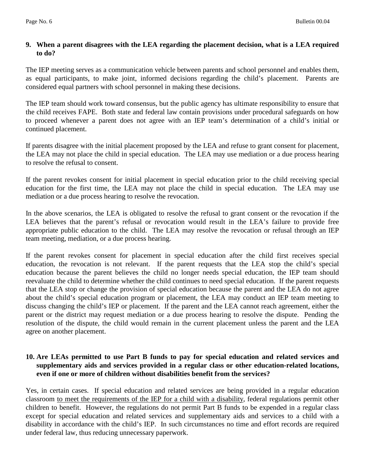# **9. When a parent disagrees with the LEA regarding the placement decision, what is a LEA required to do?**

The IEP meeting serves as a communication vehicle between parents and school personnel and enables them, as equal participants, to make joint, informed decisions regarding the child's placement. Parents are considered equal partners with school personnel in making these decisions.

The IEP team should work toward consensus, but the public agency has ultimate responsibility to ensure that the child receives FAPE. Both state and federal law contain provisions under procedural safeguards on how to proceed whenever a parent does not agree with an IEP team's determination of a child's initial or continued placement.

If parents disagree with the initial placement proposed by the LEA and refuse to grant consent for placement, the LEA may not place the child in special education. The LEA may use mediation or a due process hearing to resolve the refusal to consent.

If the parent revokes consent for initial placement in special education prior to the child receiving special education for the first time, the LEA may not place the child in special education. The LEA may use mediation or a due process hearing to resolve the revocation.

In the above scenarios, the LEA is obligated to resolve the refusal to grant consent or the revocation if the LEA believes that the parent's refusal or revocation would result in the LEA's failure to provide free appropriate public education to the child. The LEA may resolve the revocation or refusal through an IEP team meeting, mediation, or a due process hearing.

If the parent revokes consent for placement in special education after the child first receives special education, the revocation is not relevant. If the parent requests that the LEA stop the child's special education because the parent believes the child no longer needs special education, the IEP team should reevaluate the child to determine whether the child continues to need special education. If the parent requests that the LEA stop or change the provision of special education because the parent and the LEA do not agree about the child's special education program or placement, the LEA may conduct an IEP team meeting to discuss changing the child's IEP or placement. If the parent and the LEA cannot reach agreement, either the parent or the district may request mediation or a due process hearing to resolve the dispute. Pending the resolution of the dispute, the child would remain in the current placement unless the parent and the LEA agree on another placement.

# **10. Are LEAs permitted to use Part B funds to pay for special education and related services and supplementary aids and services provided in a regular class or other education-related locations, even if one or more of children without disabilities benefit from the services?**

Yes, in certain cases. If special education and related services are being provided in a regular education classroom to meet the requirements of the IEP for a child with a disability, federal regulations permit other children to benefit. However, the regulations do not permit Part B funds to be expended in a regular class except for special education and related services and supplementary aids and services to a child with a disability in accordance with the child's IEP. In such circumstances no time and effort records are required under federal law, thus reducing unnecessary paperwork.